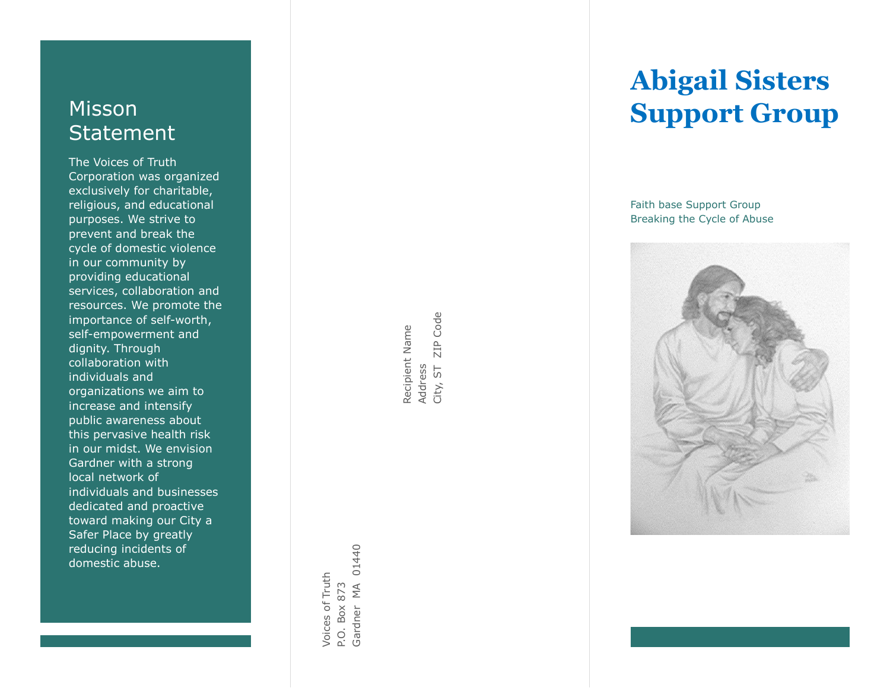## Misson **Statement**

The Voices of Truth Corporation was organized exclusively for charitable, religious, and educational purposes. We strive to prevent and break the cycle of domestic violence in our community by providing educational services, collaboration and resources. We promote the importance of self -worth, self -empowerment and dignity. Through collaboration with individuals and organizations we aim to increase and intensify public awareness about this pervasive health risk in our midst. We envision Gardner with a strong local network of individuals and businesses dedicated and proactive toward making our City a Safer Place by greatly reducing incidents of domestic abuse.

01440 Gardner MA 01440 Voices of Truth Voices of Truth P.O. Box 873

ZIP Code City, ST ZIP Code Recipient Name Recipient Name Address<br>City, ST

# **Abigail Sisters Support Group**

Faith base Support Group Breaking the Cycle of Abuse